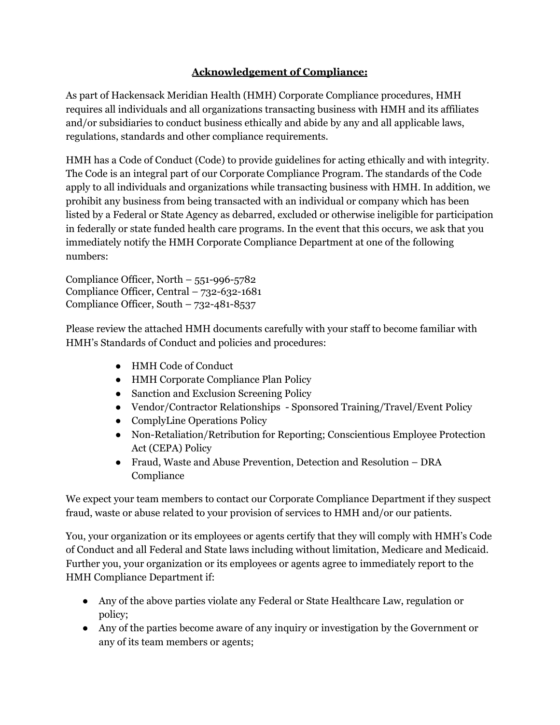## **Acknowledgement of Compliance:**

As part of Hackensack Meridian Health (HMH) Corporate Compliance procedures, HMH requires all individuals and all organizations transacting business with HMH and its affiliates and/or subsidiaries to conduct business ethically and abide by any and all applicable laws, regulations, standards and other compliance requirements.

HMH has a Code of Conduct (Code) to provide guidelines for acting ethically and with integrity. The Code is an integral part of our Corporate Compliance Program. The standards of the Code apply to all individuals and organizations while transacting business with HMH. In addition, we prohibit any business from being transacted with an individual or company which has been listed by a Federal or State Agency as debarred, excluded or otherwise ineligible for participation in federally or state funded health care programs. In the event that this occurs, we ask that you immediately notify the HMH Corporate Compliance Department at one of the following numbers:

Compliance Officer, North  $-551-996-5782$ Compliance Officer, Central – 732-632-1681 Compliance Officer, South – 732-481-8537

Please review the attached HMH documents carefully with your staff to become familiar with HMH's Standards of Conduct and policies and procedures:

- HMH Code of Conduct
- HMH Corporate Compliance Plan Policy
- Sanction and Exclusion Screening Policy
- Vendor/Contractor Relationships Sponsored Training/Travel/Event Policy
- ComplyLine Operations Policy
- Non-Retaliation/Retribution for Reporting; Conscientious Employee Protection Act (CEPA) Policy
- Fraud, Waste and Abuse Prevention, Detection and Resolution DRA Compliance

We expect your team members to contact our Corporate Compliance Department if they suspect fraud, waste or abuse related to your provision of services to HMH and/or our patients.

You, your organization or its employees or agents certify that they will comply with HMH's Code of Conduct and all Federal and State laws including without limitation, Medicare and Medicaid. Further you, your organization or its employees or agents agree to immediately report to the HMH Compliance Department if:

- Any of the above parties violate any Federal or State Healthcare Law, regulation or policy;
- Any of the parties become aware of any inquiry or investigation by the Government or any of its team members or agents;